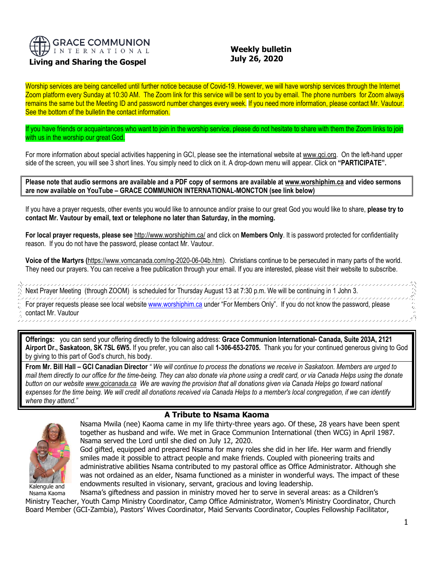

## **Living and Sharing the Gospel**

## **Weekly bulletin July 26, 2020**

Worship services are being cancelled until further notice because of Covid-19. However, we will have worship services through the Internet Zoom platform every Sunday at 10:30 AM. The Zoom link for this service will be sent to you by email. The phone numbers for Zoom always remains the same but the Meeting ID and password number changes every week. If you need more information, please contact Mr. Vautour. See the bottom of the bulletin the contact information.

If you have friends or acquaintances who want to join in the worship service, please do not hesitate to share with them the Zoom links to join with us in the worship our great God.

For more information about special activities happening in GCI, please see the international website a[t www.gci.org.](http://www.gci.org/) On the left-hand upper side of the screen, you will see 3 short lines. You simply need to click on it. A drop-down menu will appear. Click on **"PARTICIPATE".** 

**Please note that audio sermons are available and a PDF copy of sermons are available at [www.worshiphim.ca](http://www.worshiphim.ca/) and video sermons are now available on YouTube – GRACE COMMUNION INTERNATIONAL-MONCTON (see link below)**

If you have a prayer requests, other events you would like to announce and/or praise to our great God you would like to share, **please try to contact Mr. Vautour by email, text or telephone no later than Saturday, in the morning.**

**For local prayer requests, please see** <http://www.worshiphim.ca/> and click on **Members Only**. It is password protected for confidentiality reason. If you do not have the password, please contact Mr. Vautour.

**Voice of the Martyrs (**[https://www.vomcanada.com/ng-2020-06-04b.htm\)](https://www.vomcanada.com/ng-2020-06-04b.htm). Christians continue to be persecuted in many parts of the world. They need our prayers. You can receive a free publication through your email. If you are interested, please visit their website to subscribe.

,,,,,,,,,,,,,,,,,,,,,,,,,,,, Next Prayer Meeting (through ZOOM) is scheduled for Thursday August 13 at 7:30 p.m. We will be continuing in 1 John 3. For prayer requests please see local websit[e www.worshiphim.ca](http://www.worshiphim.ca/) under "For Members Only". If you do not know the password, please contact Mr. Vautour

**Offerings:** you can send your offering directly to the following address: **Grace Communion International- Canada, Suite 203A, 2121 Airport Dr., Saskatoon, SK 7SL 6W5.** If you prefer, you can also call **1-306-653-2705.** Thank you for your continued generous giving to God by giving to this part of God's church, his body.

**From Mr. Bill Hall – GCI Canadian Director** *" We will continue to process the donations we receive in Saskatoon. Members are urged to mail them directly to our office for the time-being. They can also donate via phone using a credit card, or via Canada Helps using the donate button on our websit[e www.gcicanada.ca](https://eur03.safelinks.protection.outlook.com/?url=http%3A%2F%2Fwww.gcicanada.ca%2F&data=02%7C01%7C%7C9fd93e29c2b44509e5a008d7caa78fdb%7C84df9e7fe9f640afb435aaaaaaaaaaaa%7C1%7C0%7C637200693331983394&sdata=VAGy4Q%2BxbhHuYaeEiDz%2FQyicT%2FoiY4Ir9kc8w5yHRPs%3D&reserved=0) We are waving the provision that all donations given via Canada Helps go toward national expenses for the time being. We will credit all donations received via Canada Helps to a member's local congregation, if we can identify where they attend."*



,,,,,,,,,,

Kalengule and

## **A Tribute to Nsama Kaoma**

Nsama Mwila (nee) Kaoma came in my life thirty-three years ago. Of these, 28 years have been spent together as husband and wife. We met in Grace Communion International (then WCG) in April 1987. Nsama served the Lord until she died on July 12, 2020.

God gifted, equipped and prepared Nsama for many roles she did in her life. Her warm and friendly smiles made it possible to attract people and make friends. Coupled with pioneering traits and administrative abilities Nsama contributed to my pastoral office as Office Administrator. Although she was not ordained as an elder, Nsama functioned as a minister in wonderful ways. The impact of these endowments resulted in visionary, servant, gracious and loving leadership.

Nsama Kaoma Nsama's giftedness and passion in ministry moved her to serve in several areas: as a Children's Ministry Teacher, Youth Camp Ministry Coordinator, Camp Office Administrator, Women's Ministry Coordinator, Church Board Member (GCI-Zambia), Pastors' Wives Coordinator, Maid Servants Coordinator, Couples Fellowship Facilitator,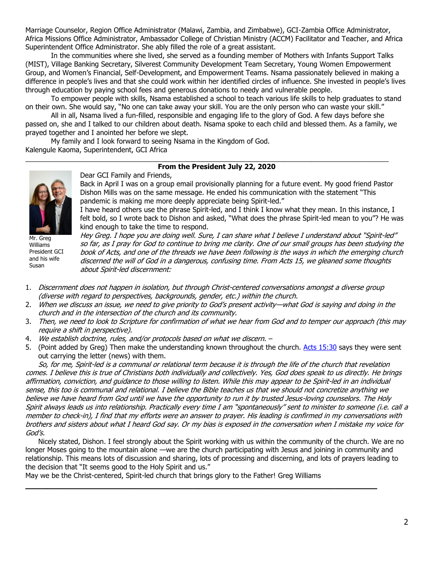Marriage Counselor, Region Office Administrator (Malawi, Zambia, and Zimbabwe), GCI-Zambia Office Administrator, Africa Missions Office Administrator, Ambassador College of Christian Ministry (ACCM) Facilitator and Teacher, and Africa Superintendent Office Administrator. She ably filled the role of a great assistant.

In the communities where she lived, she served as a founding member of Mothers with Infants Support Talks (MIST), Village Banking Secretary, Silverest Community Development Team Secretary, Young Women Empowerment Group, and Women's Financial, Self-Development, and Empowerment Teams. Nsama passionately believed in making a difference in people's lives and that she could work within her identified circles of influence. She invested in people's lives through education by paying school fees and generous donations to needy and vulnerable people.

To empower people with skills, Nsama established a school to teach various life skills to help graduates to stand on their own. She would say, "No one can take away your skill. You are the only person who can waste your skill."

All in all, Nsama lived a fun-filled, responsible and engaging life to the glory of God. A few days before she passed on, she and I talked to our children about death. Nsama spoke to each child and blessed them. As a family, we prayed together and I anointed her before we slept.

My family and I look forward to seeing Nsama in the Kingdom of God. Kalengule Kaoma, Superintendent, GCI Africa

### \_\_\_\_\_\_\_\_\_\_\_\_\_\_\_\_\_\_\_\_\_\_\_\_\_\_\_\_\_\_\_\_\_\_\_\_\_\_\_\_\_\_\_\_\_\_\_\_\_\_\_\_\_\_\_\_\_\_\_\_\_\_\_\_\_\_\_\_\_\_\_\_\_\_\_\_\_\_\_\_\_\_\_\_\_\_\_\_\_\_\_\_\_\_ **From the President July 22, 2020**

Dear GCI Family and Friends, Back in April I was on a group email provisionally planning for a future event. My good friend Pastor Dishon Mills was on the same message. He ended his communication with the statement "This pandemic is making me more deeply appreciate being Spirit-led."

I have heard others use the phrase Spirit-led, and I think I know what they mean. In this instance, I felt bold, so I wrote back to Dishon and asked, "What does the phrase Spirit-led mean to you"? He was kind enough to take the time to respond.



Williams President GCI and his wife Susan

Hey Greg. I hope you are doing well. Sure, I can share what I believe I understand about "Spirit-led" so far, as I pray for God to continue to bring me clarity. One of our small groups has been studying the book of Acts, and one of the threads we have been following is the ways in which the emerging church discerned the will of God in a dangerous, confusing time. From Acts 15, we gleaned some thoughts about Spirit-led discernment:

- 1. Discernment does not happen in isolation, but through Christ-centered conversations amongst a diverse group (diverse with regard to perspectives, backgrounds, gender, etc.) within the church.
- 2. When we discuss an issue, we need to give priority to God's present activity—what God is saying and doing in the church and in the intersection of the church and its community.
- 3. Then, we need to look to Scripture for confirmation of what we hear from God and to temper our approach (this may require a shift in perspective).
- 4. We establish doctrine, rules, and/or protocols based on what we discern. –
- 5. (Point added by Greg) Then make the understanding known throughout the church. [Acts 15:30](https://biblia.com/bible/niv/Acts%2015.30) says they were sent out carrying the letter (news) with them.

So, for me, Spirit-led is a communal or relational term because it is through the life of the church that revelation comes. I believe this is true of Christians both individually and collectively. Yes, God does speak to us directly. He brings affirmation, conviction, and guidance to those willing to listen. While this may appear to be Spirit-led in an individual sense, this too is communal and relational. I believe the Bible teaches us that we should not concretize anything we believe we have heard from God until we have the opportunity to run it by trusted Jesus-loving counselors. The Holy Spirit always leads us into relationship. Practically every time I am "spontaneously" sent to minister to someone (i.e. call <sup>a</sup> member to check-in), I find that my efforts were an answer to prayer. His leading is confirmed in my conversations with brothers and sisters about what I heard God say. Or my bias is exposed in the conversation when I mistake my voice for God's.

Nicely stated, Dishon. I feel strongly about the Spirit working with us within the community of the church. We are no longer Moses going to the mountain alone —we are the church participating with Jesus and joining in community and relationship. This means lots of discussion and sharing, lots of processing and discerning, and lots of prayers leading to the decision that "It seems good to the Holy Spirit and us."

**\_\_\_\_\_\_\_\_\_\_\_\_\_\_\_\_\_\_\_\_\_\_\_\_\_\_\_\_\_\_\_\_\_\_\_\_\_\_\_\_\_\_\_\_\_\_\_\_\_\_\_\_\_\_\_\_\_\_\_\_\_\_\_\_\_**

May we be the Christ-centered, Spirit-led church that brings glory to the Father! Greg Williams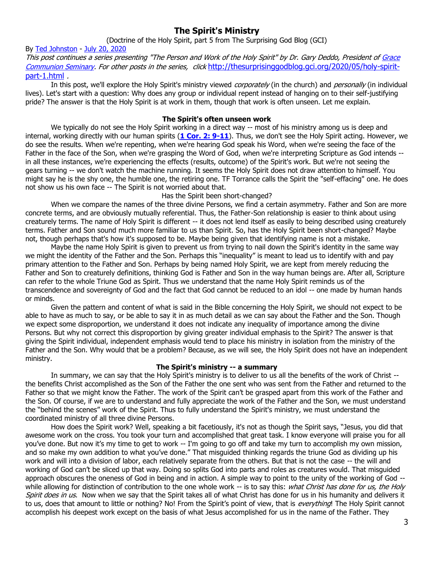# **The Spirit's Ministry**

## (Doctrine of the Holy Spirit, part 5 from The Surprising God Blog (GCI)

By [Ted Johnston](https://www.blogger.com/profile/08677739021765621811) - [July 20, 2020](http://thesurprisinggodblog.gci.org/2020/07/holy-spirit-part-5.html) This post continues a series presenting "The Person and Work of the Holy Spirit" by Dr. Gary Deddo, President of [Grace](https://www.gcs.edu/)  [Communion Seminary.](https://www.gcs.edu/) For other posts in the series, click [http://thesurprisinggodblog.gci.org/2020/05/holy-spirit](http://thesurprisinggodblog.gci.org/2020/05/holy-spirit-part-1.html)[part-1.html](http://thesurprisinggodblog.gci.org/2020/05/holy-spirit-part-1.html) .

In this post, we'll explore the Holy Spirit's ministry viewed *corporately* (in the church) and *personally* (in individual lives). Let's start with a question: Why does any group or individual repent instead of hanging on to their self-justifying pride? The answer is that the Holy Spirit is at work in them, though that work is often unseen. Let me explain.

#### **The Spirit's often unseen work**

We typically do not see the Holy Spirit working in a direct way -- most of his ministry among us is deep and internal, working directly with our human spirits (**[1 Cor. 2: 9-11](https://biblia.com/bible/niv/1%20Cor.%202.%209-11)**). Thus, we don't see the Holy Spirit acting. However, we do see the results. When we're repenting, when we're hearing God speak his Word, when we're seeing the face of the Father in the face of the Son, when we're grasping the Word of God, when we're interpreting Scripture as God intends - in all these instances, we're experiencing the effects (results, outcome) of the Spirit's work. But we're not seeing the gears turning -- we don't watch the machine running. It seems the Holy Spirit does not draw attention to himself. You might say he is the shy one, the humble one, the retiring one. TF Torrance calls the Spirit the "self-effacing" one. He does not show us his own face -- The Spirit is not worried about that.

#### Has the Spirit been short-changed?

When we compare the names of the three divine Persons, we find a certain asymmetry. Father and Son are more concrete terms, and are obviously mutually referential. Thus, the Father-Son relationship is easier to think about using creaturely terms. The name of Holy Spirit is different -- it does not lend itself as easily to being described using creaturely terms. Father and Son sound much more familiar to us than Spirit. So, has the Holy Spirit been short-changed? Maybe not, though perhaps that's how it's supposed to be. Maybe being given that identifying name is not a mistake.

Maybe the name Holy Spirit is given to prevent us from trying to nail down the Spirit's identity in the same way we might the identity of the Father and the Son. Perhaps this "inequality" is meant to lead us to identify with and pay primary attention to the Father and Son. Perhaps by being named Holy Spirit, we are kept from merely reducing the Father and Son to creaturely definitions, thinking God is Father and Son in the way human beings are. After all, Scripture can refer to the whole Triune God as Spirit. Thus we understand that the name Holy Spirit reminds us of the transcendence and sovereignty of God and the fact that God cannot be reduced to an idol -- one made by human hands or minds.

Given the pattern and content of what is said in the Bible concerning the Holy Spirit, we should not expect to be able to have as much to say, or be able to say it in as much detail as we can say about the Father and the Son. Though we expect some disproportion, we understand it does not indicate any inequality of importance among the divine Persons. But why not correct this disproportion by giving greater individual emphasis to the Spirit? The answer is that giving the Spirit individual, independent emphasis would tend to place his ministry in isolation from the ministry of the Father and the Son. Why would that be a problem? Because, as we will see, the Holy Spirit does not have an independent ministry.

### **The Spirit's ministry -- a summary**

In summary, we can say that the Holy Spirit's ministry is to deliver to us all the benefits of the work of Christ - the benefits Christ accomplished as the Son of the Father the one sent who was sent from the Father and returned to the Father so that we might know the Father. The work of the Spirit can't be grasped apart from this work of the Father and the Son. Of course, if we are to understand and fully appreciate the work of the Father and the Son, we must understand the "behind the scenes" work of the Spirit. Thus to fully understand the Spirit's ministry, we must understand the coordinated ministry of all three divine Persons.

How does the Spirit work? Well, speaking a bit facetiously, it's not as though the Spirit says, "Jesus, you did that awesome work on the cross. You took your turn and accomplished that great task. I know everyone will praise you for all you've done. But now it's my time to get to work -- I'm going to go off and take my turn to accomplish my own mission, and so make my own addition to what you've done." That misguided thinking regards the triune God as dividing up his work and will into a division of labor, each relatively separate from the others. But that is not the case -- the will and working of God can't be sliced up that way. Doing so splits God into parts and roles as creatures would. That misguided approach obscures the oneness of God in being and in action. A simple way to point to the unity of the working of God while allowing for distinction of contribution to the one whole work -- is to say this: what Christ has done for us, the Holy Spirit does in us. Now when we say that the Spirit takes all of what Christ has done for us in his humanity and delivers it to us, does that amount to little or nothing? No! From the Spirit's point of view, that is everything! The Holy Spirit cannot accomplish his deepest work except on the basis of what Jesus accomplished for us in the name of the Father. They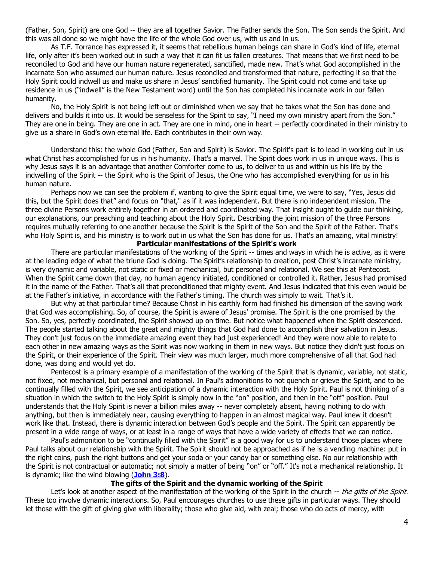(Father, Son, Spirit) are one God -- they are all together Savior. The Father sends the Son. The Son sends the Spirit. And this was all done so we might have the life of the whole God over us, with us and in us.

As T.F. Torrance has expressed it, it seems that rebellious human beings can share in God's kind of life, eternal life, only after it's been worked out in such a way that it can fit us fallen creatures. That means that we first need to be reconciled to God and have our human nature regenerated, sanctified, made new. That's what God accomplished in the incarnate Son who assumed our human nature. Jesus reconciled and transformed that nature, perfecting it so that the Holy Spirit could indwell us and make us share in Jesus' sanctified humanity. The Spirit could not come and take up residence in us ("indwell" is the New Testament word) until the Son has completed his incarnate work in our fallen humanity.

No, the Holy Spirit is not being left out or diminished when we say that he takes what the Son has done and delivers and builds it into us. It would be senseless for the Spirit to say, "I need my own ministry apart from the Son." They are one in being. They are one in act. They are one in mind, one in heart -- perfectly coordinated in their ministry to give us a share in God's own eternal life. Each contributes in their own way.

Understand this: the whole God (Father, Son and Spirit) is Savior. The Spirit's part is to lead in working out in us what Christ has accomplished for us in his humanity. That's a marvel. The Spirit does work in us in unique ways. This is why Jesus says it is an advantage that another Comforter come to us, to deliver to us and within us his life by the indwelling of the Spirit -- the Spirit who is the Spirit of Jesus, the One who has accomplished everything for us in his human nature.

Perhaps now we can see the problem if, wanting to give the Spirit equal time, we were to say, "Yes, Jesus did this, but the Spirit does that" and focus on "that," as if it was independent. But there is no independent mission. The three divine Persons work entirely together in an ordered and coordinated way. That insight ought to guide our thinking, our explanations, our preaching and teaching about the Holy Spirit. Describing the joint mission of the three Persons requires mutually referring to one another because the Spirit is the Spirit of the Son and the Spirit of the Father. That's who Holy Spirit is, and his ministry is to work out in us what the Son has done for us. That's an amazing, vital ministry!

## **Particular manifestations of the Spirit's work**

There are particular manifestations of the working of the Spirit -- times and ways in which he is active, as it were at the leading edge of what the triune God is doing. The Spirit's relationship to creation, post Christ's incarnate ministry, is very dynamic and variable, not static or fixed or mechanical, but personal and relational. We see this at Pentecost. When the Spirit came down that day, no human agency initiated, conditioned or controlled it. Rather, Jesus had promised it in the name of the Father. That's all that preconditioned that mighty event. And Jesus indicated that this even would be at the Father's initiative, in accordance with the Father's timing. The church was simply to wait. That's it.

But why at that particular time? Because Christ in his earthly form had finished his dimension of the saving work that God was accomplishing. So, of course, the Spirit is aware of Jesus' promise. The Spirit is the one promised by the Son. So, yes, perfectly coordinated, the Spirit showed up on time. But notice what happened when the Spirit descended. The people started talking about the great and mighty things that God had done to accomplish their salvation in Jesus. They don't just focus on the immediate amazing event they had just experienced! And they were now able to relate to each other in new amazing ways as the Spirit was now working in them in new ways. But notice they didn't just focus on the Spirit, or their experience of the Spirit. Their view was much larger, much more comprehensive of all that God had done, was doing and would yet do.

Pentecost is a primary example of a manifestation of the working of the Spirit that is dynamic, variable, not static, not fixed, not mechanical, but personal and relational. In Paul's admonitions to not quench or grieve the Spirit, and to be continually filled with the Spirit, we see anticipation of a dynamic interaction with the Holy Spirit. Paul is not thinking of a situation in which the switch to the Holy Spirit is simply now in the "on" position, and then in the "off" position. Paul understands that the Holy Spirit is never a billion miles away -- never completely absent, having nothing to do with anything, but then is immediately near, causing everything to happen in an almost magical way. Paul knew it doesn't work like that. Instead, there is dynamic interaction between God's people and the Spirit. The Spirit can apparently be present in a wide range of ways, or at least in a range of ways that have a wide variety of effects that we can notice.

Paul's admonition to be "continually filled with the Spirit" is a good way for us to understand those places where Paul talks about our relationship with the Spirit. The Spirit should not be approached as if he is a vending machine: put in the right coins, push the right buttons and get your soda or your candy bar or something else. No our relationship with the Spirit is not contractual or automatic; not simply a matter of being "on" or "off." It's not a mechanical relationship. It is dynamic; like the wind blowing (**[John 3:8](https://biblia.com/bible/niv/John%203.8)**).

### **The gifts of the Spirit and the dynamic working of the Spirit**

Let's look at another aspect of the manifestation of the working of the Spirit in the church -- the gifts of the Spirit. These too involve dynamic interactions. So, Paul encourages churches to use these gifts in particular ways. They should let those with the gift of giving give with liberality; those who give aid, with zeal; those who do acts of mercy, with